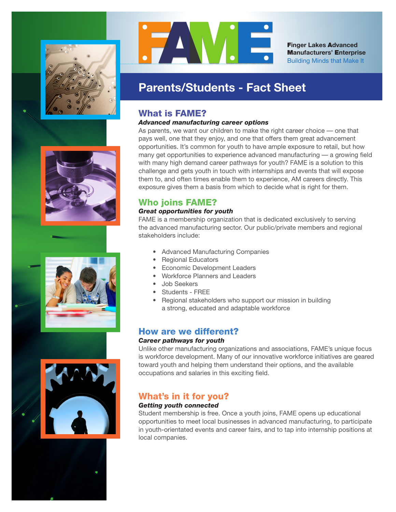









F**inger Lakes** A**dvanced** M**anufacturers'** E**nterprise** Building Minds that Make It

# **Parents/Students - Fact Sheet**

# What is FAME?

## *Advanced manufacturing career options*

As parents, we want our children to make the right career choice — one that pays well, one that they enjoy, and one that offers them great advancement opportunities. It's common for youth to have ample exposure to retail, but how many get opportunities to experience advanced manufacturing — a growing field with many high demand career pathways for youth? FAME is a solution to this challenge and gets youth in touch with internships and events that will expose them to, and often times enable them to experience, AM careers directly. This exposure gives them a basis from which to decide what is right for them.

# Who joins FAME?

# *Great opportunities for youth*

FAME is a membership organization that is dedicated exclusively to serving the advanced manufacturing sector. Our public/private members and regional stakeholders include:

- Advanced Manufacturing Companies
- Regional Educators
- Economic Development Leaders
- Workforce Planners and Leaders
- Job Seekers
- Students FREE
- Regional stakeholders who support our mission in building a strong, educated and adaptable workforce

# How are we different?

## *Career pathways for youth*

Unlike other manufacturing organizations and associations, FAME's unique focus is workforce development. Many of our innovative workforce initiatives are geared toward youth and helping them understand their options, and the available occupations and salaries in this exciting field.

# What's in it for you?

## *Getting youth connected*

Student membership is free. Once a youth joins, FAME opens up educational opportunities to meet local businesses in advanced manufacturing, to participate in youth-orientated events and career fairs, and to tap into internship positions at local companies.